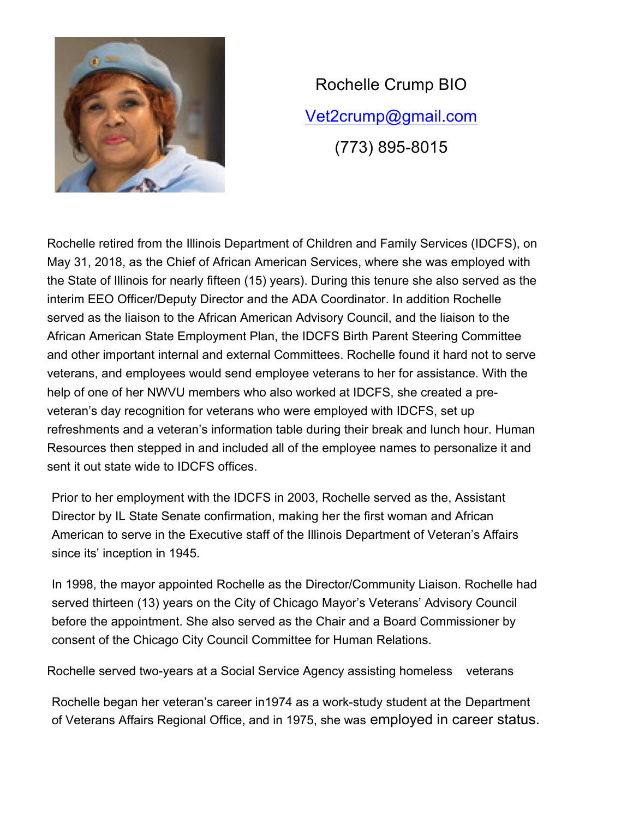

Rochelle Crump BIO Vet2crump@gmail.com (773) 895-8015

Rochelle retired from the Illinois Department of Children and Family Services (IDCFS), on May 31, 2018, as the Chief of African American Services, where she was employed with the State of Illinois for nearly fifteen (15) years). During this tenure she also served as the interim EEO Officer/Deputy Director and the ADA Coordinator. In addition Rochelle served as the liaison to the African American Advisory Council, and the liaison to the African American State Employment Plan, the IDCFS Birth Parent Steering Committee and other important internal and external Committees. Rochelle found it hard not to serve veterans, and employees would send employee veterans to her for assistance. With the help of one of her NWVU members who also worked at IDCFS, she created a preveteran's day recognition for veterans who were employed with IDCFS, set up refreshments and a veteran's information table during their break and lunch hour. Human Resources then stepped in and included all of the employee names to personalize it and sent it out state wide to IDCFS offices.

Prior to her employment with the IDCFS in 2003, Rochelle served as the, Assistant Director by IL State Senate confirmation, making her the first woman and African American to serve in the Executive staff of the Illinois Department of Veteran's Affairs since its' inception in 1945.

In 1998, the mayor appointed Rochelle as the Director/Community Liaison. Rochelle had served thirteen (13) years on the City of Chicago Mayor's Veterans' Advisory Council before the appointment. She also served as the Chair and a Board Commissioner by consent of the Chicago City Council Committee for Human Relations.

Rochelle served two-years at a Social Service Agency assisting homeless veterans

Rochelle began her veteran's career in1974 as a work-study student at the Department of Veterans Affairs Regional Office, and in 1975, she was employed in career status.